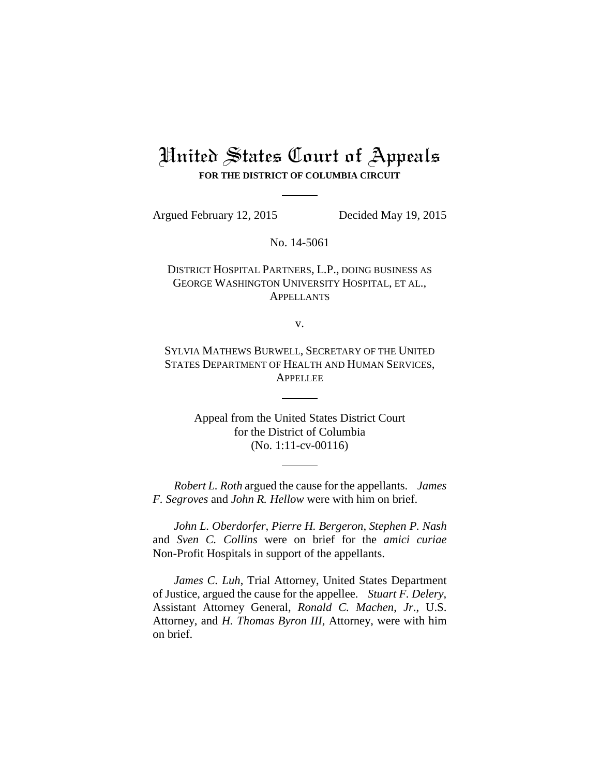# United States Court of Appeals **FOR THE DISTRICT OF COLUMBIA CIRCUIT**

Argued February 12, 2015 Decided May 19, 2015

No. 14-5061

DISTRICT HOSPITAL PARTNERS, L.P., DOING BUSINESS AS GEORGE WASHINGTON UNIVERSITY HOSPITAL, ET AL., **APPELLANTS** 

v.

SYLVIA MATHEWS BURWELL, SECRETARY OF THE UNITED STATES DEPARTMENT OF HEALTH AND HUMAN SERVICES, **APPELLEE** 

> Appeal from the United States District Court for the District of Columbia (No. 1:11-cv-00116)

*Robert L. Roth* argued the cause for the appellants. *James F. Segroves* and *John R. Hellow* were with him on brief.

*John L. Oberdorfer*, *Pierre H. Bergeron*, *Stephen P. Nash* and *Sven C. Collins* were on brief for the *amici curiae* Non-Profit Hospitals in support of the appellants.

*James C. Luh*, Trial Attorney, United States Department of Justice, argued the cause for the appellee. *Stuart F. Delery*, Assistant Attorney General, *Ronald C. Machen*, *Jr*., U.S. Attorney, and *H. Thomas Byron III*, Attorney, were with him on brief.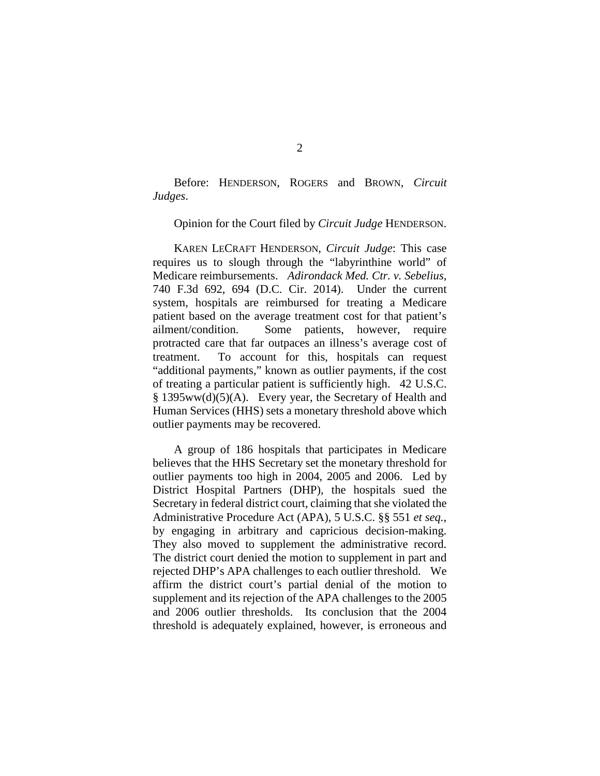Before: HENDERSON, ROGERS and BROWN, *Circuit Judges*.

Opinion for the Court filed by *Circuit Judge* HENDERSON.

KAREN LECRAFT HENDERSON, *Circuit Judge*: This case requires us to slough through the "labyrinthine world" of Medicare reimbursements. *Adirondack Med. Ctr. v. Sebelius*, 740 F.3d 692, 694 (D.C. Cir. 2014). Under the current system, hospitals are reimbursed for treating a Medicare patient based on the average treatment cost for that patient's ailment/condition. Some patients, however, require protracted care that far outpaces an illness's average cost of treatment. To account for this, hospitals can request "additional payments," known as outlier payments, if the cost of treating a particular patient is sufficiently high. 42 U.S.C.  $§$  1395ww(d)(5)(A). Every year, the Secretary of Health and Human Services (HHS) sets a monetary threshold above which outlier payments may be recovered.

A group of 186 hospitals that participates in Medicare believes that the HHS Secretary set the monetary threshold for outlier payments too high in 2004, 2005 and 2006. Led by District Hospital Partners (DHP), the hospitals sued the Secretary in federal district court, claiming that she violated the Administrative Procedure Act (APA), 5 U.S.C. §§ 551 *et seq.*, by engaging in arbitrary and capricious decision-making. They also moved to supplement the administrative record. The district court denied the motion to supplement in part and rejected DHP's APA challenges to each outlier threshold. We affirm the district court's partial denial of the motion to supplement and its rejection of the APA challenges to the 2005 and 2006 outlier thresholds. Its conclusion that the 2004 threshold is adequately explained, however, is erroneous and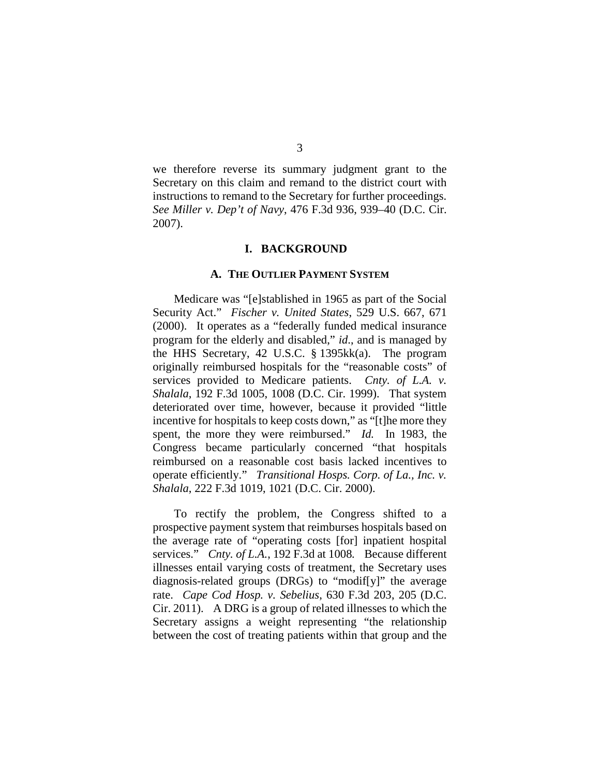we therefore reverse its summary judgment grant to the Secretary on this claim and remand to the district court with instructions to remand to the Secretary for further proceedings. *See Miller v. Dep't of Navy*, 476 F.3d 936, 939–40 (D.C. Cir. 2007).

# **I. BACKGROUND**

#### **A. THE OUTLIER PAYMENT SYSTEM**

Medicare was "[e]stablished in 1965 as part of the Social Security Act." *Fischer v. United States*, 529 U.S. 667, 671 (2000). It operates as a "federally funded medical insurance program for the elderly and disabled," *id*., and is managed by the HHS Secretary, 42 U.S.C. § 1395kk(a). The program originally reimbursed hospitals for the "reasonable costs" of services provided to Medicare patients. *Cnty. of L.A. v. Shalala*, 192 F.3d 1005, 1008 (D.C. Cir. 1999). That system deteriorated over time, however, because it provided "little incentive for hospitals to keep costs down," as "[t]he more they spent, the more they were reimbursed." *Id.* In 1983, the Congress became particularly concerned "that hospitals reimbursed on a reasonable cost basis lacked incentives to operate efficiently." *Transitional Hosps. Corp. of La., Inc. v. Shalala*, 222 F.3d 1019, 1021 (D.C. Cir. 2000).

To rectify the problem, the Congress shifted to a prospective payment system that reimburses hospitals based on the average rate of "operating costs [for] inpatient hospital services." *Cnty. of L.A.*, 192 F.3d at 1008*.* Because different illnesses entail varying costs of treatment, the Secretary uses diagnosis-related groups (DRGs) to "modif[y]" the average rate. *Cape Cod Hosp. v. Sebelius*, 630 F.3d 203, 205 (D.C. Cir. 2011). A DRG is a group of related illnesses to which the Secretary assigns a weight representing "the relationship between the cost of treating patients within that group and the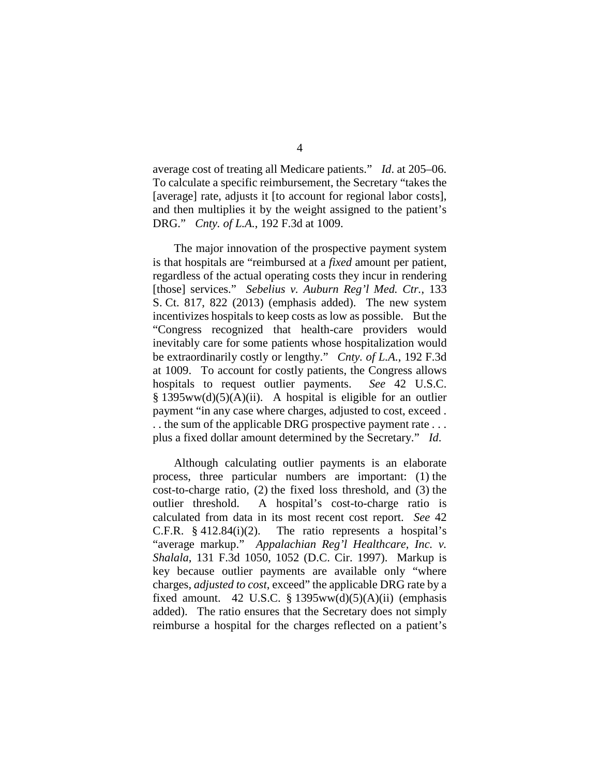average cost of treating all Medicare patients." *Id*. at 205–06. To calculate a specific reimbursement, the Secretary "takes the [average] rate, adjusts it [to account for regional labor costs], and then multiplies it by the weight assigned to the patient's DRG." *Cnty. of L.A.*, 192 F.3d at 1009.

The major innovation of the prospective payment system is that hospitals are "reimbursed at a *fixed* amount per patient, regardless of the actual operating costs they incur in rendering [those] services." *Sebelius v. Auburn Reg'l Med. Ctr.*, 133 S. Ct. 817, 822 (2013) (emphasis added). The new system incentivizes hospitals to keep costs as low as possible. But the "Congress recognized that health-care providers would inevitably care for some patients whose hospitalization would be extraordinarily costly or lengthy." *Cnty. of L.A.*, 192 F.3d at 1009. To account for costly patients, the Congress allows hospitals to request outlier payments. *See* 42 U.S.C.  $§$  1395ww(d)(5)(A)(ii). A hospital is eligible for an outlier payment "in any case where charges, adjusted to cost, exceed . . . the sum of the applicable DRG prospective payment rate . . . plus a fixed dollar amount determined by the Secretary." *Id*.

Although calculating outlier payments is an elaborate process, three particular numbers are important: (1) the cost-to-charge ratio, (2) the fixed loss threshold, and (3) the outlier threshold. A hospital's cost-to-charge ratio is calculated from data in its most recent cost report. *See* 42 C.F.R.  $\S$  412.84(i)(2). The ratio represents a hospital's "average markup." *Appalachian Reg'l Healthcare, Inc. v. Shalala*, 131 F.3d 1050, 1052 (D.C. Cir. 1997). Markup is key because outlier payments are available only "where charges, *adjusted to cost*, exceed" the applicable DRG rate by a fixed amount. 42 U.S.C.  $\S$  1395ww(d)(5)(A)(ii) (emphasis added). The ratio ensures that the Secretary does not simply reimburse a hospital for the charges reflected on a patient's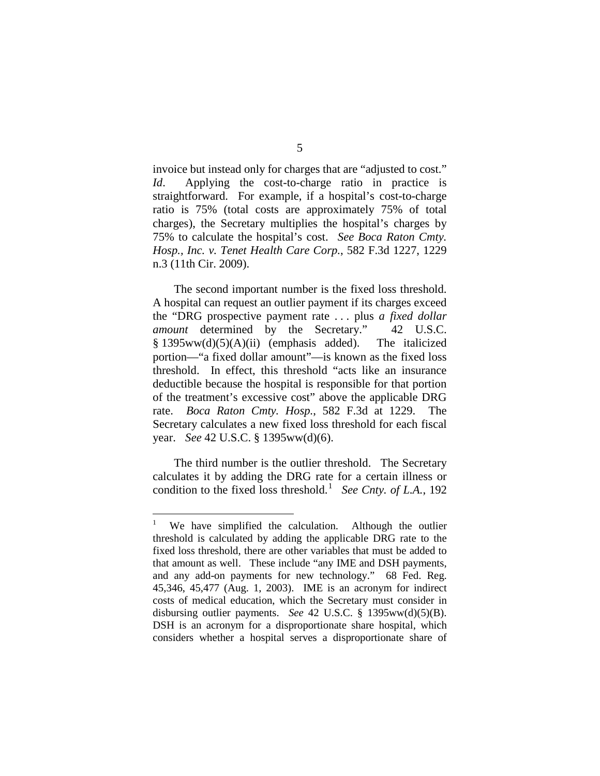invoice but instead only for charges that are "adjusted to cost." *Id*. Applying the cost-to-charge ratio in practice is straightforward. For example, if a hospital's cost-to-charge ratio is 75% (total costs are approximately 75% of total charges), the Secretary multiplies the hospital's charges by 75% to calculate the hospital's cost. *See Boca Raton Cmty. Hosp., Inc. v. Tenet Health Care Corp.*, 582 F.3d 1227, 1229 n.3 (11th Cir. 2009).

The second important number is the fixed loss threshold. A hospital can request an outlier payment if its charges exceed the "DRG prospective payment rate . . . plus *a fixed dollar amount* determined by the Secretary." 42 U.S.C. § 1395ww(d)(5)(A)(ii) (emphasis added). The italicized portion—"a fixed dollar amount"—is known as the fixed loss threshold. In effect, this threshold "acts like an insurance deductible because the hospital is responsible for that portion of the treatment's excessive cost" above the applicable DRG rate. *Boca Raton Cmty. Hosp.*, 582 F.3d at 1229. The Secretary calculates a new fixed loss threshold for each fiscal year. *See* 42 U.S.C. § 1395ww(d)(6).

The third number is the outlier threshold. The Secretary calculates it by adding the DRG rate for a certain illness or condition to the fixed loss threshold.<sup>[1](#page-4-0)</sup> See Cnty. of L.A., 192

<span id="page-4-0"></span>We have simplified the calculation. Although the outlier threshold is calculated by adding the applicable DRG rate to the fixed loss threshold, there are other variables that must be added to that amount as well. These include "any IME and DSH payments, and any add-on payments for new technology." 68 Fed. Reg. 45,346, 45,477 (Aug. 1, 2003). IME is an acronym for indirect costs of medical education, which the Secretary must consider in disbursing outlier payments. *See* 42 U.S.C. § 1395ww(d)(5)(B). DSH is an acronym for a disproportionate share hospital, which considers whether a hospital serves a disproportionate share of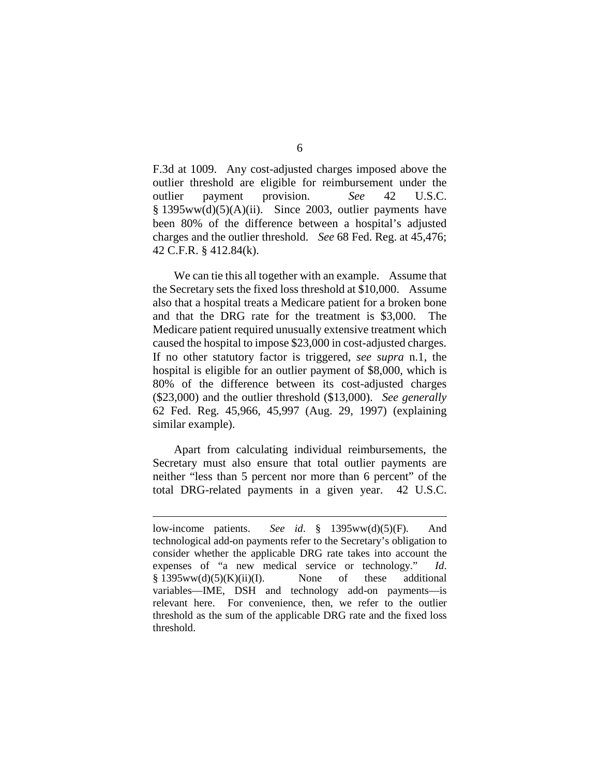F.3d at 1009. Any cost-adjusted charges imposed above the outlier threshold are eligible for reimbursement under the outlier payment provision. *See* 42 U.S.C.  $§$  1395ww(d)(5)(A)(ii). Since 2003, outlier payments have been 80% of the difference between a hospital's adjusted charges and the outlier threshold. *See* 68 Fed. Reg. at 45,476; 42 C.F.R. § 412.84(k).

We can tie this all together with an example. Assume that the Secretary sets the fixed loss threshold at \$10,000. Assume also that a hospital treats a Medicare patient for a broken bone and that the DRG rate for the treatment is \$3,000. The Medicare patient required unusually extensive treatment which caused the hospital to impose \$23,000 in cost-adjusted charges. If no other statutory factor is triggered, *see supra* n.1, the hospital is eligible for an outlier payment of \$8,000, which is 80% of the difference between its cost-adjusted charges (\$23,000) and the outlier threshold (\$13,000). *See generally*  62 Fed. Reg. 45,966, 45,997 (Aug. 29, 1997) (explaining similar example).

Apart from calculating individual reimbursements, the Secretary must also ensure that total outlier payments are neither "less than 5 percent nor more than 6 percent" of the total DRG-related payments in a given year. 42 U.S.C.

 $\overline{a}$ 

low-income patients. *See id*. § 1395ww(d)(5)(F). And technological add-on payments refer to the Secretary's obligation to consider whether the applicable DRG rate takes into account the expenses of "a new medical service or technology." *Id*.  $§ 1395ww(d)(5)(K)(ii)(I).$  None of these additional variables—IME, DSH and technology add-on payments—is relevant here. For convenience, then, we refer to the outlier threshold as the sum of the applicable DRG rate and the fixed loss threshold.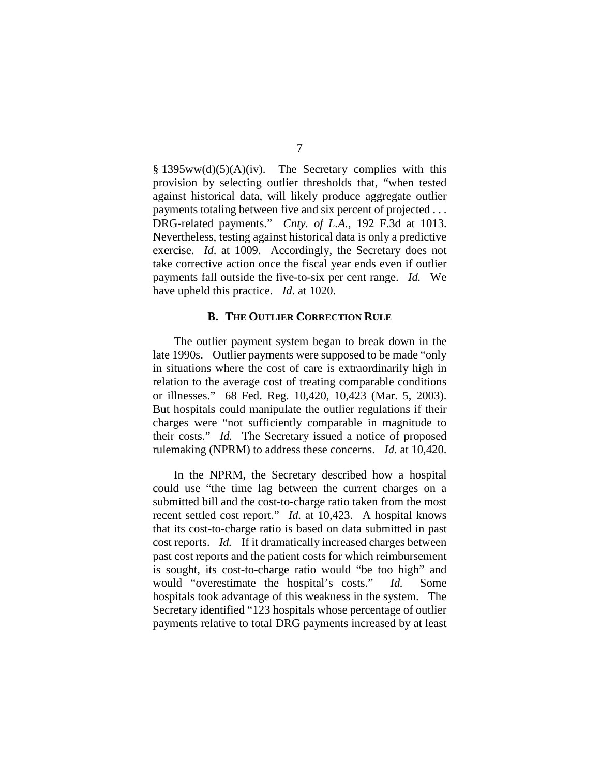$§$  1395ww(d)(5)(A)(iv). The Secretary complies with this provision by selecting outlier thresholds that, "when tested against historical data, will likely produce aggregate outlier payments totaling between five and six percent of projected . . . DRG-related payments." *Cnty. of L.A.*, 192 F.3d at 1013. Nevertheless, testing against historical data is only a predictive exercise. *Id*. at 1009. Accordingly, the Secretary does not take corrective action once the fiscal year ends even if outlier payments fall outside the five-to-six per cent range. *Id.* We have upheld this practice. *Id*. at 1020.

#### **B. THE OUTLIER CORRECTION RULE**

The outlier payment system began to break down in the late 1990s. Outlier payments were supposed to be made "only in situations where the cost of care is extraordinarily high in relation to the average cost of treating comparable conditions or illnesses." 68 Fed. Reg. 10,420, 10,423 (Mar. 5, 2003). But hospitals could manipulate the outlier regulations if their charges were "not sufficiently comparable in magnitude to their costs." *Id.* The Secretary issued a notice of proposed rulemaking (NPRM) to address these concerns. *Id.* at 10,420.

In the NPRM, the Secretary described how a hospital could use "the time lag between the current charges on a submitted bill and the cost-to-charge ratio taken from the most recent settled cost report." *Id.* at 10,423. A hospital knows that its cost-to-charge ratio is based on data submitted in past cost reports. *Id.* If it dramatically increased charges between past cost reports and the patient costs for which reimbursement is sought, its cost-to-charge ratio would "be too high" and would "overestimate the hospital's costs." *Id.* Some hospitals took advantage of this weakness in the system. The Secretary identified "123 hospitals whose percentage of outlier payments relative to total DRG payments increased by at least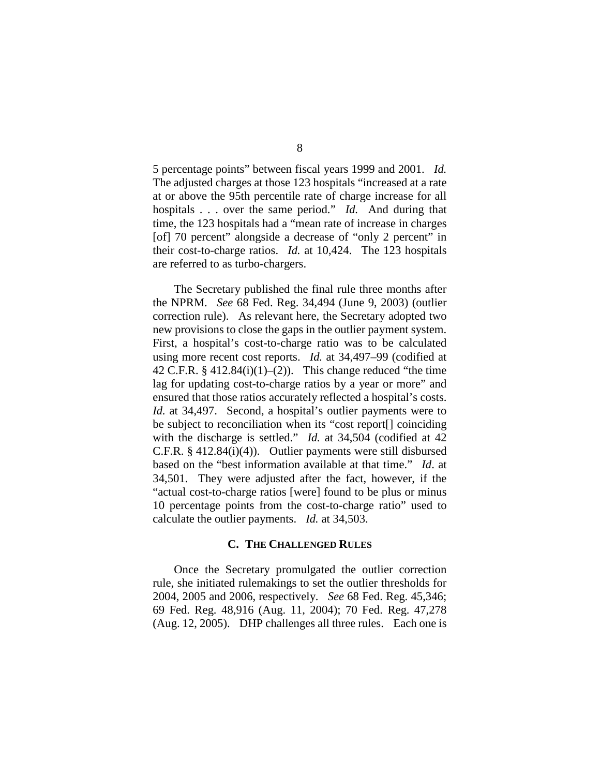5 percentage points" between fiscal years 1999 and 2001. *Id.* The adjusted charges at those 123 hospitals "increased at a rate at or above the 95th percentile rate of charge increase for all hospitals . . . over the same period." *Id.* And during that time, the 123 hospitals had a "mean rate of increase in charges [of] 70 percent" alongside a decrease of "only 2 percent" in their cost-to-charge ratios. *Id.* at 10,424. The 123 hospitals are referred to as turbo-chargers.

The Secretary published the final rule three months after the NPRM. *See* 68 Fed. Reg. 34,494 (June 9, 2003) (outlier correction rule). As relevant here, the Secretary adopted two new provisions to close the gaps in the outlier payment system. First, a hospital's cost-to-charge ratio was to be calculated using more recent cost reports. *Id.* at 34,497–99 (codified at 42 C.F.R.  $\S$  412.84(i)(1)–(2)). This change reduced "the time lag for updating cost-to-charge ratios by a year or more" and ensured that those ratios accurately reflected a hospital's costs. *Id.* at 34,497. Second, a hospital's outlier payments were to be subject to reconciliation when its "cost report[] coinciding with the discharge is settled." *Id.* at 34,504 (codified at 42) C.F.R. § 412.84(i)(4)). Outlier payments were still disbursed based on the "best information available at that time." *Id*. at 34,501. They were adjusted after the fact, however, if the "actual cost-to-charge ratios [were] found to be plus or minus 10 percentage points from the cost-to-charge ratio" used to calculate the outlier payments. *Id.* at 34,503.

# **C. THE CHALLENGED RULES**

Once the Secretary promulgated the outlier correction rule, she initiated rulemakings to set the outlier thresholds for 2004, 2005 and 2006, respectively. *See* 68 Fed. Reg. 45,346; 69 Fed. Reg. 48,916 (Aug. 11, 2004); 70 Fed. Reg. 47,278 (Aug. 12, 2005). DHP challenges all three rules. Each one is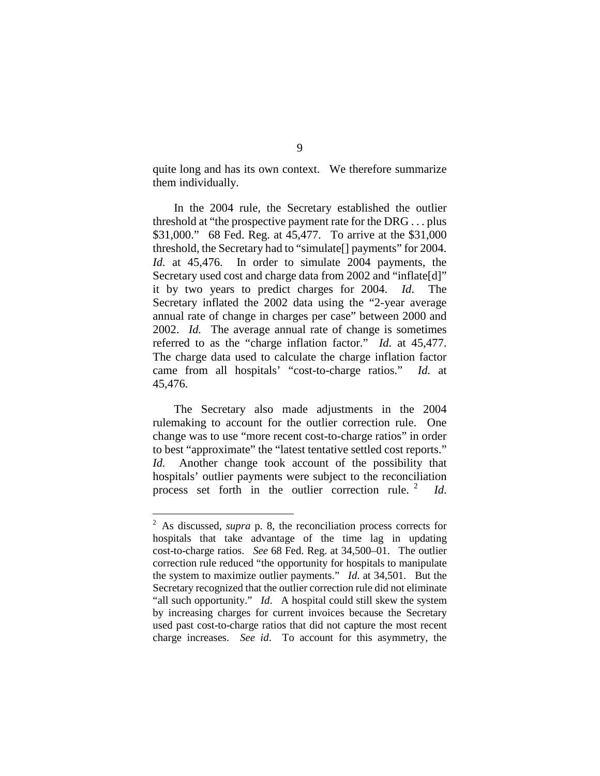quite long and has its own context. We therefore summarize them individually.

In the 2004 rule, the Secretary established the outlier threshold at "the prospective payment rate for the DRG . . . plus \$31,000." 68 Fed. Reg. at 45,477. To arrive at the \$31,000 threshold, the Secretary had to "simulate[] payments" for 2004. *Id.* at 45,476. In order to simulate 2004 payments, the Secretary used cost and charge data from 2002 and "inflate[d]" it by two years to predict charges for 2004. *Id*. The Secretary inflated the 2002 data using the "2-year average annual rate of change in charges per case" between 2000 and 2002. *Id.* The average annual rate of change is sometimes referred to as the "charge inflation factor." *Id.* at 45,477. The charge data used to calculate the charge inflation factor came from all hospitals' "cost-to-charge ratios." *Id.* at 45,476.

The Secretary also made adjustments in the 2004 rulemaking to account for the outlier correction rule. One change was to use "more recent cost-to-charge ratios" in order to best "approximate" the "latest tentative settled cost reports." *Id.* Another change took account of the possibility that hospitals' outlier payments were subject to the reconciliation process set forth in the outlier correction rule. [2](#page-8-0) *Id*.

<span id="page-8-0"></span> <sup>2</sup> As discussed, *supra* p. 8, the reconciliation process corrects for hospitals that take advantage of the time lag in updating cost-to-charge ratios. *See* 68 Fed. Reg. at 34,500–01. The outlier correction rule reduced "the opportunity for hospitals to manipulate the system to maximize outlier payments." *Id*. at 34,501. But the Secretary recognized that the outlier correction rule did not eliminate "all such opportunity." *Id*. A hospital could still skew the system by increasing charges for current invoices because the Secretary used past cost-to-charge ratios that did not capture the most recent charge increases. *See id*. To account for this asymmetry, the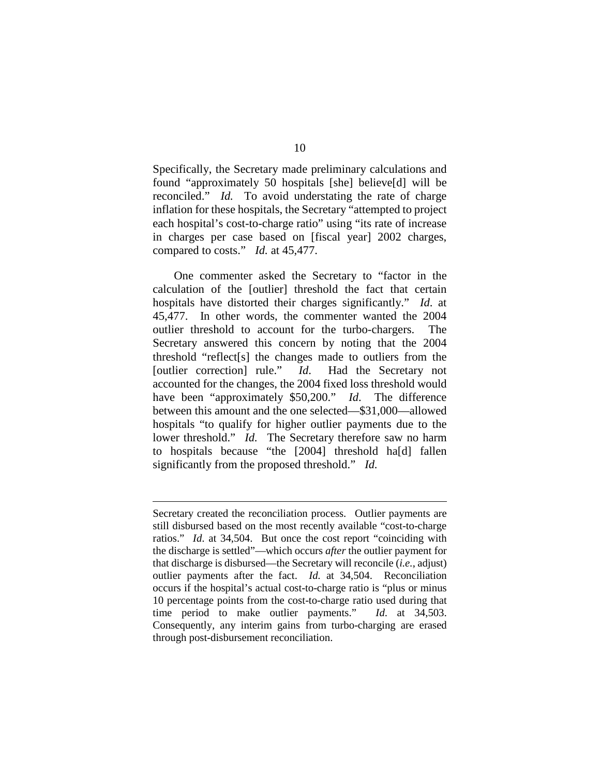Specifically, the Secretary made preliminary calculations and found "approximately 50 hospitals [she] believe[d] will be reconciled." *Id.* To avoid understating the rate of charge inflation for these hospitals, the Secretary "attempted to project each hospital's cost-to-charge ratio" using "its rate of increase in charges per case based on [fiscal year] 2002 charges, compared to costs." *Id.* at 45,477.

One commenter asked the Secretary to "factor in the calculation of the [outlier] threshold the fact that certain hospitals have distorted their charges significantly." *Id*. at 45,477. In other words, the commenter wanted the 2004 outlier threshold to account for the turbo-chargers. The Secretary answered this concern by noting that the 2004 threshold "reflect[s] the changes made to outliers from the [outlier correction] rule." *Id*. Had the Secretary not accounted for the changes, the 2004 fixed loss threshold would have been "approximately \$50,200." *Id*. The difference between this amount and the one selected—\$31,000—allowed hospitals "to qualify for higher outlier payments due to the lower threshold." *Id.* The Secretary therefore saw no harm to hospitals because "the [2004] threshold ha[d] fallen significantly from the proposed threshold." *Id.*

 $\overline{a}$ 

Secretary created the reconciliation process. Outlier payments are still disbursed based on the most recently available "cost-to-charge ratios." *Id*. at 34,504. But once the cost report "coinciding with the discharge is settled"—which occurs *after* the outlier payment for that discharge is disbursed—the Secretary will reconcile (*i.e.*, adjust) outlier payments after the fact. *Id.* at 34,504. Reconciliation occurs if the hospital's actual cost-to-charge ratio is "plus or minus 10 percentage points from the cost-to-charge ratio used during that time period to make outlier payments." *Id*. at 34,503. Consequently, any interim gains from turbo-charging are erased through post-disbursement reconciliation.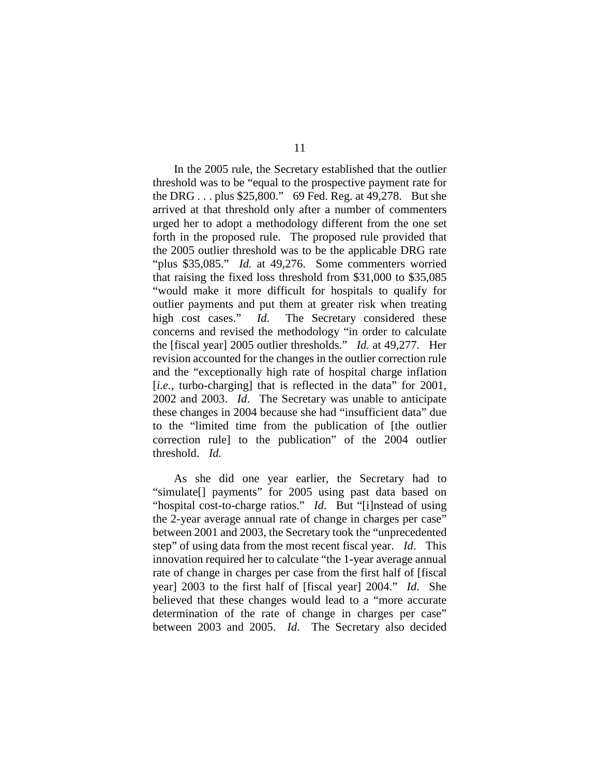In the 2005 rule, the Secretary established that the outlier threshold was to be "equal to the prospective payment rate for the DRG . . . plus \$25,800." 69 Fed. Reg. at 49,278. But she arrived at that threshold only after a number of commenters urged her to adopt a methodology different from the one set forth in the proposed rule. The proposed rule provided that the 2005 outlier threshold was to be the applicable DRG rate "plus \$35,085." *Id.* at 49,276. Some commenters worried that raising the fixed loss threshold from \$31,000 to \$35,085 "would make it more difficult for hospitals to qualify for outlier payments and put them at greater risk when treating high cost cases." *Id*. The Secretary considered these concerns and revised the methodology "in order to calculate the [fiscal year] 2005 outlier thresholds." *Id.* at 49,277. Her revision accounted for the changes in the outlier correction rule and the "exceptionally high rate of hospital charge inflation [*i.e.*, turbo-charging] that is reflected in the data" for 2001, 2002 and 2003. *Id*. The Secretary was unable to anticipate these changes in 2004 because she had "insufficient data" due to the "limited time from the publication of [the outlier correction rule] to the publication" of the 2004 outlier threshold. *Id.*

As she did one year earlier, the Secretary had to "simulate[] payments" for 2005 using past data based on "hospital cost-to-charge ratios." *Id*. But "[i]nstead of using the 2-year average annual rate of change in charges per case" between 2001 and 2003, the Secretary took the "unprecedented step" of using data from the most recent fiscal year. *Id*. This innovation required her to calculate "the 1-year average annual rate of change in charges per case from the first half of [fiscal year] 2003 to the first half of [fiscal year] 2004." *Id*. She believed that these changes would lead to a "more accurate determination of the rate of change in charges per case" between 2003 and 2005. *Id*. The Secretary also decided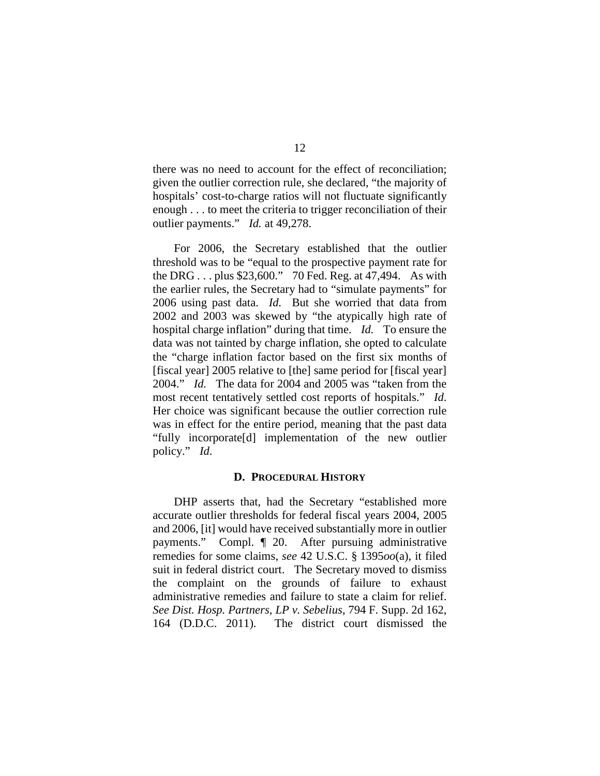there was no need to account for the effect of reconciliation; given the outlier correction rule, she declared, "the majority of hospitals' cost-to-charge ratios will not fluctuate significantly enough . . . to meet the criteria to trigger reconciliation of their outlier payments." *Id.* at 49,278.

For 2006, the Secretary established that the outlier threshold was to be "equal to the prospective payment rate for the DRG . . . plus \$23,600." 70 Fed. Reg. at 47,494. As with the earlier rules, the Secretary had to "simulate payments" for 2006 using past data. *Id.* But she worried that data from 2002 and 2003 was skewed by "the atypically high rate of hospital charge inflation" during that time. *Id.* To ensure the data was not tainted by charge inflation, she opted to calculate the "charge inflation factor based on the first six months of [fiscal year] 2005 relative to [the] same period for [fiscal year] 2004." *Id.* The data for 2004 and 2005 was "taken from the most recent tentatively settled cost reports of hospitals." *Id*. Her choice was significant because the outlier correction rule was in effect for the entire period, meaning that the past data "fully incorporate[d] implementation of the new outlier policy." *Id*.

# **D. PROCEDURAL HISTORY**

DHP asserts that, had the Secretary "established more accurate outlier thresholds for federal fiscal years 2004, 2005 and 2006, [it] would have received substantially more in outlier payments." Compl. ¶ 20. After pursuing administrative remedies for some claims, *see* 42 U.S.C. § 1395*oo*(a), it filed suit in federal district court. The Secretary moved to dismiss the complaint on the grounds of failure to exhaust administrative remedies and failure to state a claim for relief. *See Dist. Hosp. Partners, LP v. Sebelius*, 794 F. Supp. 2d 162, 164 (D.D.C. 2011). The district court dismissed the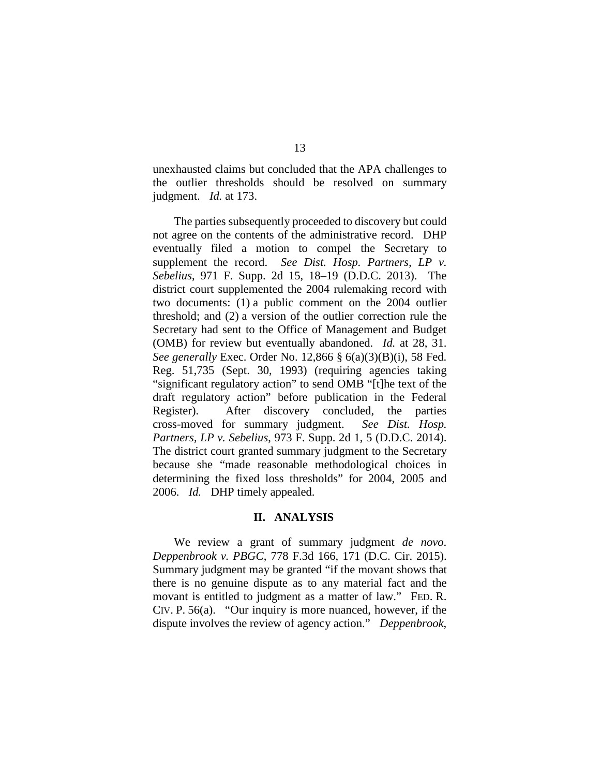unexhausted claims but concluded that the APA challenges to the outlier thresholds should be resolved on summary judgment. *Id.* at 173.

The parties subsequently proceeded to discovery but could not agree on the contents of the administrative record. DHP eventually filed a motion to compel the Secretary to supplement the record. *See Dist. Hosp. Partners, LP v. Sebelius*, 971 F. Supp. 2d 15, 18–19 (D.D.C. 2013). The district court supplemented the 2004 rulemaking record with two documents: (1) a public comment on the 2004 outlier threshold; and (2) a version of the outlier correction rule the Secretary had sent to the Office of Management and Budget (OMB) for review but eventually abandoned. *Id.* at 28, 31. *See generally* Exec. Order No. 12,866 § 6(a)(3)(B)(i), 58 Fed. Reg. 51,735 (Sept. 30, 1993) (requiring agencies taking "significant regulatory action" to send OMB "[t]he text of the draft regulatory action" before publication in the Federal Register). After discovery concluded, the parties cross-moved for summary judgment. *See Dist. Hosp. Partners, LP v. Sebelius*, 973 F. Supp. 2d 1, 5 (D.D.C. 2014). The district court granted summary judgment to the Secretary because she "made reasonable methodological choices in determining the fixed loss thresholds" for 2004, 2005 and 2006. *Id.* DHP timely appealed.

# **II. ANALYSIS**

We review a grant of summary judgment *de novo*. *Deppenbrook v. PBGC*, 778 F.3d 166, 171 (D.C. Cir. 2015). Summary judgment may be granted "if the movant shows that there is no genuine dispute as to any material fact and the movant is entitled to judgment as a matter of law." FED. R. CIV. P. 56(a). "Our inquiry is more nuanced, however, if the dispute involves the review of agency action." *Deppenbrook*,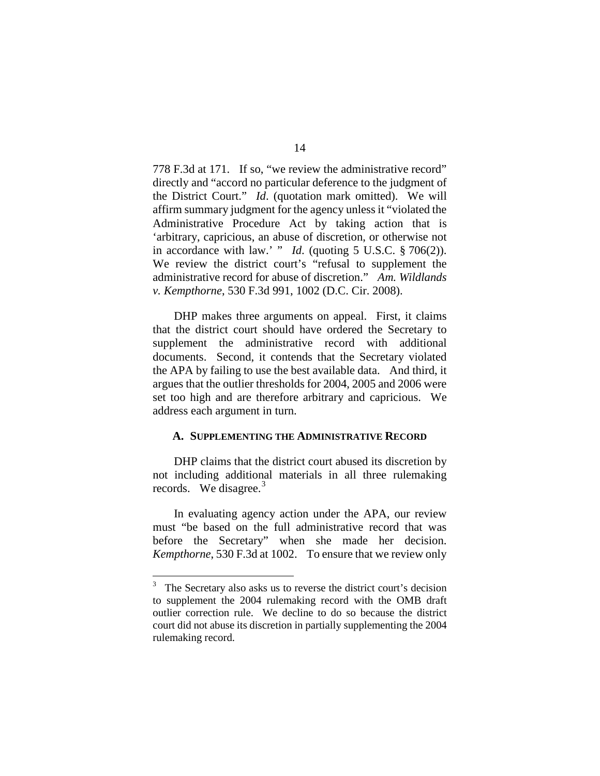778 F.3d at 171. If so, "we review the administrative record" directly and "accord no particular deference to the judgment of the District Court." *Id*. (quotation mark omitted). We will affirm summary judgment for the agency unless it "violated the Administrative Procedure Act by taking action that is 'arbitrary, capricious, an abuse of discretion, or otherwise not in accordance with law.' " *Id*. (quoting 5 U.S.C. § 706(2)). We review the district court's "refusal to supplement the administrative record for abuse of discretion." *Am. Wildlands v. Kempthorne*, 530 F.3d 991, 1002 (D.C. Cir. 2008).

DHP makes three arguments on appeal. First, it claims that the district court should have ordered the Secretary to supplement the administrative record with additional documents. Second, it contends that the Secretary violated the APA by failing to use the best available data. And third, it argues that the outlier thresholds for 2004, 2005 and 2006 were set too high and are therefore arbitrary and capricious. We address each argument in turn.

## **A. SUPPLEMENTING THE ADMINISTRATIVE RECORD**

DHP claims that the district court abused its discretion by not including additional materials in all three rulemaking records. We disagree. $3$ 

In evaluating agency action under the APA, our review must "be based on the full administrative record that was before the Secretary" when she made her decision. *Kempthorne*, 530 F.3d at 1002. To ensure that we review only

<span id="page-13-0"></span>The Secretary also asks us to reverse the district court's decision to supplement the 2004 rulemaking record with the OMB draft outlier correction rule. We decline to do so because the district court did not abuse its discretion in partially supplementing the 2004 rulemaking record.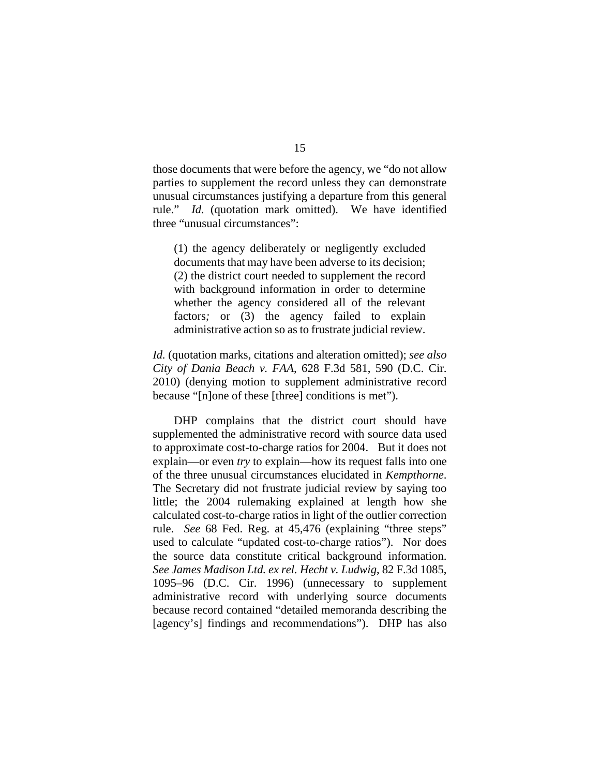those documents that were before the agency, we "do not allow parties to supplement the record unless they can demonstrate unusual circumstances justifying a departure from this general rule." *Id.* (quotation mark omitted). We have identified three "unusual circumstances":

(1) the agency deliberately or negligently excluded documents that may have been adverse to its decision; (2) the district court needed to supplement the record with background information in order to determine whether the agency considered all of the relevant factors*[;](https://a.next.westlaw.com/Link/Document/FullText?findType=Y&serNum=1996099088&originatingDoc=I6fb490124d1111ddb5cbad29a280d47c&refType=RP&originationContext=document&transitionType=DocumentItem&contextData=(sc.UserEnteredCitation))* or (3) the agency failed to explain administrative action so as to frustrate judicial review.

*Id.* (quotation marks, citations and alteration omitted); *see also City of Dania Beach v. FAA*, 628 F.3d 581, 590 (D.C. Cir. 2010) (denying motion to supplement administrative record because "[n]one of these [three] conditions is met").

DHP complains that the district court should have supplemented the administrative record with source data used to approximate cost-to-charge ratios for 2004. But it does not explain—or even *try* to explain—how its request falls into one of the three unusual circumstances elucidated in *Kempthorne*. The Secretary did not frustrate judicial review by saying too little; the 2004 rulemaking explained at length how she calculated cost-to-charge ratios in light of the outlier correction rule. *See* 68 Fed. Reg. at 45,476 (explaining "three steps" used to calculate "updated cost-to-charge ratios"). Nor does the source data constitute critical background information. *See James Madison Ltd. ex rel. Hecht v. Ludwig*, 82 F.3d 1085, 1095–96 (D.C. Cir. 1996) (unnecessary to supplement administrative record with underlying source documents because record contained "detailed memoranda describing the [agency's] findings and recommendations"). DHP has also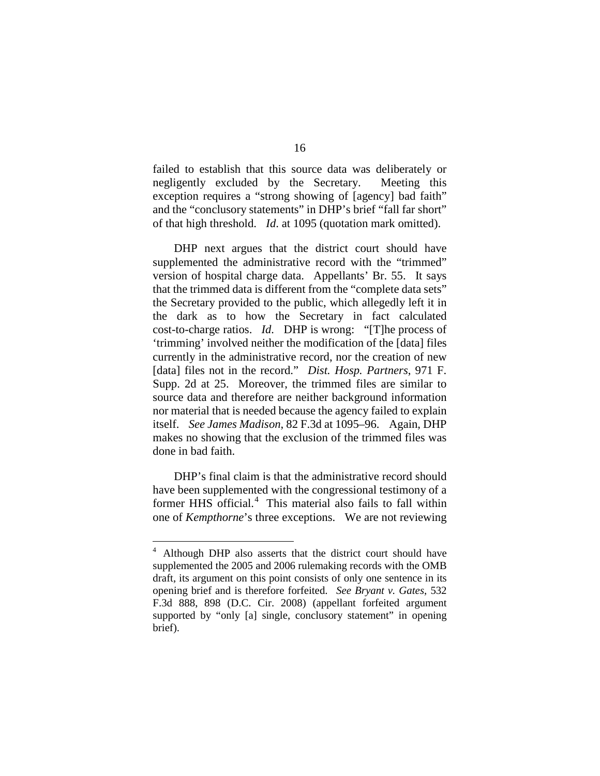failed to establish that this source data was deliberately or negligently excluded by the Secretary. Meeting this exception requires a "strong showing of [agency] bad faith" and the "conclusory statements" in DHP's brief "fall far short" of that high threshold. *Id*. at 1095 (quotation mark omitted).

DHP next argues that the district court should have supplemented the administrative record with the "trimmed" version of hospital charge data. Appellants' Br. 55. It says that the trimmed data is different from the "complete data sets" the Secretary provided to the public, which allegedly left it in the dark as to how the Secretary in fact calculated cost-to-charge ratios. *Id.* DHP is wrong: "[T]he process of 'trimming' involved neither the modification of the [data] files currently in the administrative record, nor the creation of new [data] files not in the record." *Dist. Hosp. Partners*, 971 F. Supp. 2d at 25. Moreover, the trimmed files are similar to source data and therefore are neither background information nor material that is needed because the agency failed to explain itself. *See James Madison*, 82 F.3d at 1095–96. Again, DHP makes no showing that the exclusion of the trimmed files was done in bad faith.

DHP's final claim is that the administrative record should have been supplemented with the congressional testimony of a former HHS official.<sup>[4](#page-15-0)</sup> This material also fails to fall within one of *Kempthorne*'s three exceptions. We are not reviewing

<span id="page-15-0"></span> <sup>4</sup> Although DHP also asserts that the district court should have supplemented the 2005 and 2006 rulemaking records with the OMB draft, its argument on this point consists of only one sentence in its opening brief and is therefore forfeited. *See Bryant v. Gates*, 532 F.3d 888, 898 (D.C. Cir. 2008) (appellant forfeited argument supported by "only [a] single, conclusory statement" in opening brief).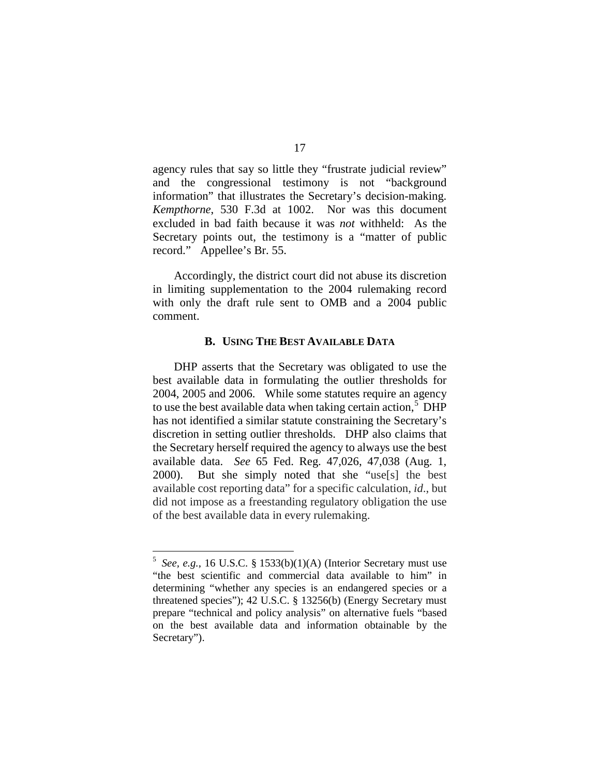agency rules that say so little they "frustrate judicial review" and the congressional testimony is not "background information" that illustrates the Secretary's decision-making. *Kempthorne*, 530 F.3d at 1002. Nor was this document excluded in bad faith because it was *not* withheld: As the Secretary points out, the testimony is a "matter of public record." Appellee's Br. 55.

Accordingly, the district court did not abuse its discretion in limiting supplementation to the 2004 rulemaking record with only the draft rule sent to OMB and a 2004 public comment.

## **B. USING THE BEST AVAILABLE DATA**

DHP asserts that the Secretary was obligated to use the best available data in formulating the outlier thresholds for 2004, 2005 and 2006. While some statutes require an agency to use the best available data when taking certain action, $5$  DHP has not identified a similar statute constraining the Secretary's discretion in setting outlier thresholds. DHP also claims that the Secretary herself required the agency to always use the best available data. *See* 65 Fed. Reg. 47,026, 47,038 (Aug. 1, 2000). But she simply noted that she "use[s] the best available cost reporting data" for a specific calculation, *id*., but did not impose as a freestanding regulatory obligation the use of the best available data in every rulemaking.

<span id="page-16-0"></span> $5$  *See, e.g.*, 16 U.S.C. § 1533(b)(1)(A) (Interior Secretary must use "the best scientific and commercial data available to him" in determining "whether any species is an endangered species or a threatened species"); 42 U.S.C. § 13256(b) (Energy Secretary must prepare "technical and policy analysis" on alternative fuels "based on the best available data and information obtainable by the Secretary").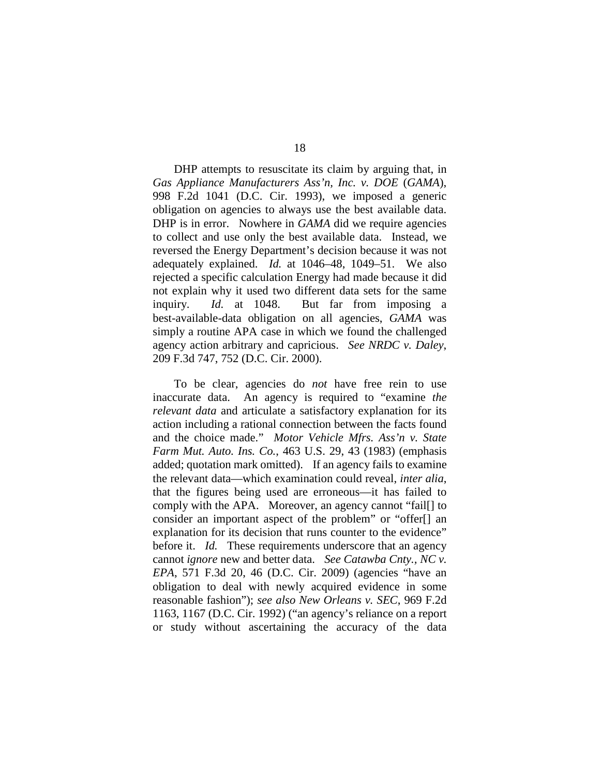DHP attempts to resuscitate its claim by arguing that, in *Gas Appliance Manufacturers Ass'n, Inc. v. DOE* (*GAMA*), 998 F.2d 1041 (D.C. Cir. 1993), we imposed a generic obligation on agencies to always use the best available data. DHP is in error. Nowhere in *GAMA* did we require agencies to collect and use only the best available data. Instead, we reversed the Energy Department's decision because it was not adequately explained. *Id.* at 1046–48, 1049–51. We also rejected a specific calculation Energy had made because it did not explain why it used two different data sets for the same inquiry. *Id.* at 1048. But far from imposing a best-available-data obligation on all agencies, *GAMA* was simply a routine APA case in which we found the challenged agency action arbitrary and capricious. *See NRDC v. Daley*, 209 F.3d 747, 752 (D.C. Cir. 2000).

To be clear, agencies do *not* have free rein to use inaccurate data. An agency is required to "examine *the relevant data* and articulate a satisfactory explanation for its action including a rational connection between the facts found and the choice made." *Motor Vehicle Mfrs. Ass'n v. State Farm Mut. Auto. Ins. Co.*, 463 U.S. 29, 43 (1983) (emphasis added; quotation mark omitted). If an agency fails to examine the relevant data—which examination could reveal, *inter alia*, that the figures being used are erroneous—it has failed to comply with the APA. Moreover, an agency cannot "fail[] to consider an important aspect of the problem" or "offer[] an explanation for its decision that runs counter to the evidence" before it. *Id.* These requirements underscore that an agency cannot *ignore* new and better data. *See Catawba Cnty., NC v. EPA*, 571 F.3d 20, 46 (D.C. Cir. 2009) (agencies "have an obligation to deal with newly acquired evidence in some reasonable fashion"); *see also New Orleans v. SEC*, 969 F.2d 1163, 1167 (D.C. Cir. 1992) ("an agency's reliance on a report or study without ascertaining the accuracy of the data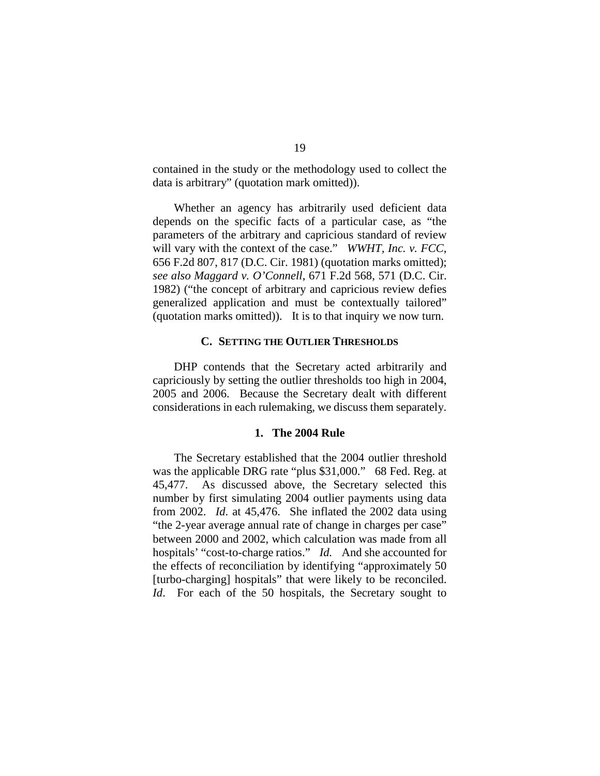contained in the study or the methodology used to collect the data is arbitrary" (quotation mark omitted)).

Whether an agency has arbitrarily used deficient data depends on the specific facts of a particular case, as "the parameters of the arbitrary and capricious standard of review will vary with the context of the case." *WWHT, Inc. v. FCC*, 656 F.2d 807, 817 (D.C. Cir. 1981) (quotation marks omitted); *see also Maggard v. O'Connell*, 671 F.2d 568, 571 (D.C. Cir. 1982) ("the concept of arbitrary and capricious review defies generalized application and must be contextually tailored" (quotation marks omitted)).It is to that inquiry we now turn.

## **C. SETTING THE OUTLIER THRESHOLDS**

DHP contends that the Secretary acted arbitrarily and capriciously by setting the outlier thresholds too high in 2004, 2005 and 2006. Because the Secretary dealt with different considerations in each rulemaking, we discuss them separately.

## **1. The 2004 Rule**

The Secretary established that the 2004 outlier threshold was the applicable DRG rate "plus \$31,000." 68 Fed. Reg. at 45,477. As discussed above, the Secretary selected this number by first simulating 2004 outlier payments using data from 2002. *Id*. at 45,476. She inflated the 2002 data using "the 2-year average annual rate of change in charges per case" between 2000 and 2002, which calculation was made from all hospitals' "cost-to-charge ratios." *Id.* And she accounted for the effects of reconciliation by identifying "approximately 50 [turbo-charging] hospitals" that were likely to be reconciled. *Id*. For each of the 50 hospitals, the Secretary sought to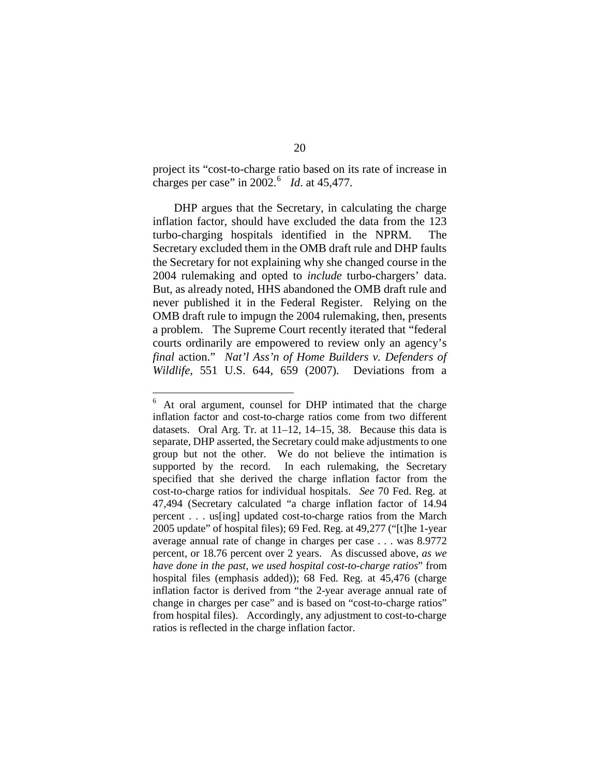project its "cost-to-charge ratio based on its rate of increase in charges per case" in  $2002$ .<sup>[6](#page-19-0)</sup> *Id*. at 45,477.

DHP argues that the Secretary, in calculating the charge inflation factor, should have excluded the data from the 123 turbo-charging hospitals identified in the NPRM. The Secretary excluded them in the OMB draft rule and DHP faults the Secretary for not explaining why she changed course in the 2004 rulemaking and opted to *include* turbo-chargers' data. But, as already noted, HHS abandoned the OMB draft rule and never published it in the Federal Register. Relying on the OMB draft rule to impugn the 2004 rulemaking, then, presents a problem. The Supreme Court recently iterated that "federal courts ordinarily are empowered to review only an agency's *final* action." *Nat'l Ass'n of Home Builders v. Defenders of Wildlife*, 551 U.S. 644, 659 (2007). Deviations from a

<span id="page-19-0"></span>At oral argument, counsel for DHP intimated that the charge inflation factor and cost-to-charge ratios come from two different datasets. Oral Arg. Tr. at 11–12, 14–15, 38. Because this data is separate, DHP asserted, the Secretary could make adjustments to one group but not the other. We do not believe the intimation is supported by the record. In each rulemaking, the Secretary specified that she derived the charge inflation factor from the cost-to-charge ratios for individual hospitals. *See* 70 Fed. Reg. at 47,494 (Secretary calculated "a charge inflation factor of 14.94 percent . . . us[ing] updated cost-to-charge ratios from the March 2005 update" of hospital files); 69 Fed. Reg. at 49,277 ("[t]he 1-year average annual rate of change in charges per case . . . was 8.9772 percent, or 18.76 percent over 2 years. As discussed above, *as we have done in the past, we used hospital cost-to-charge ratios*" from hospital files (emphasis added)); 68 Fed. Reg. at 45,476 (charge inflation factor is derived from "the 2-year average annual rate of change in charges per case" and is based on "cost-to-charge ratios" from hospital files). Accordingly, any adjustment to cost-to-charge ratios is reflected in the charge inflation factor.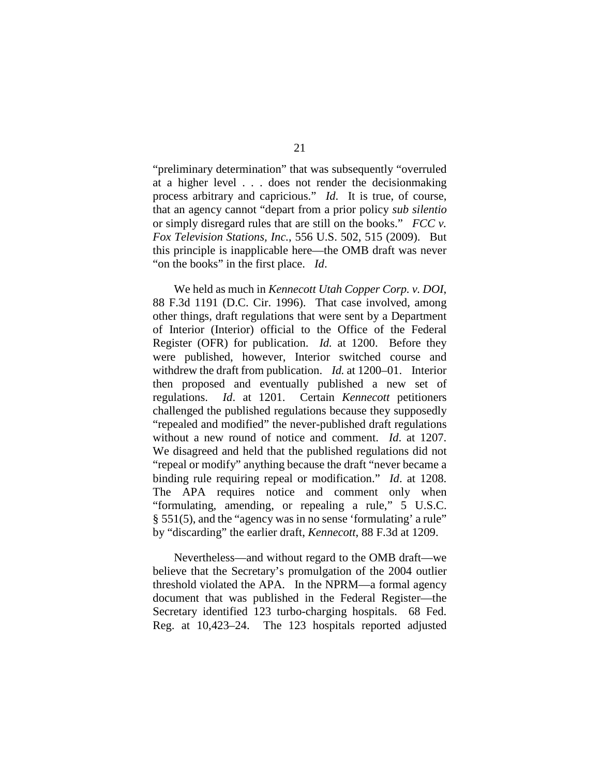"preliminary determination" that was subsequently "overruled at a higher level . . . does not render the decisionmaking process arbitrary and capricious." *Id*. It is true, of course, that an agency cannot "depart from a prior policy *sub silentio* or simply disregard rules that are still on the books." *FCC v. Fox Television Stations, Inc.*, 556 U.S. 502, 515 (2009). But this principle is inapplicable here—the OMB draft was never "on the books" in the first place. *Id*.

We held as much in *Kennecott Utah Copper Corp. v. DOI*, 88 F.3d 1191 (D.C. Cir. 1996). That case involved, among other things, draft regulations that were sent by a Department of Interior (Interior) official to the Office of the Federal Register (OFR) for publication. *Id.* at 1200. Before they were published, however, Interior switched course and withdrew the draft from publication. *Id.* at 1200–01. Interior then proposed and eventually published a new set of regulations. *Id*. at 1201. Certain *Kennecott* petitioners challenged the published regulations because they supposedly "repealed and modified" the never-published draft regulations without a new round of notice and comment. *Id*. at 1207. We disagreed and held that the published regulations did not "repeal or modify" anything because the draft "never became a binding rule requiring repeal or modification." *Id*. at 1208. The APA requires notice and comment only when "formulating, amending, or repealing a rule," 5 U.S.C. § 551(5), and the "agency was in no sense 'formulating' a rule" by "discarding" the earlier draft, *Kennecott*, 88 F.3d at 1209.

Nevertheless—and without regard to the OMB draft—we believe that the Secretary's promulgation of the 2004 outlier threshold violated the APA. In the NPRM—a formal agency document that was published in the Federal Register—the Secretary identified 123 turbo-charging hospitals. 68 Fed. Reg. at 10,423–24. The 123 hospitals reported adjusted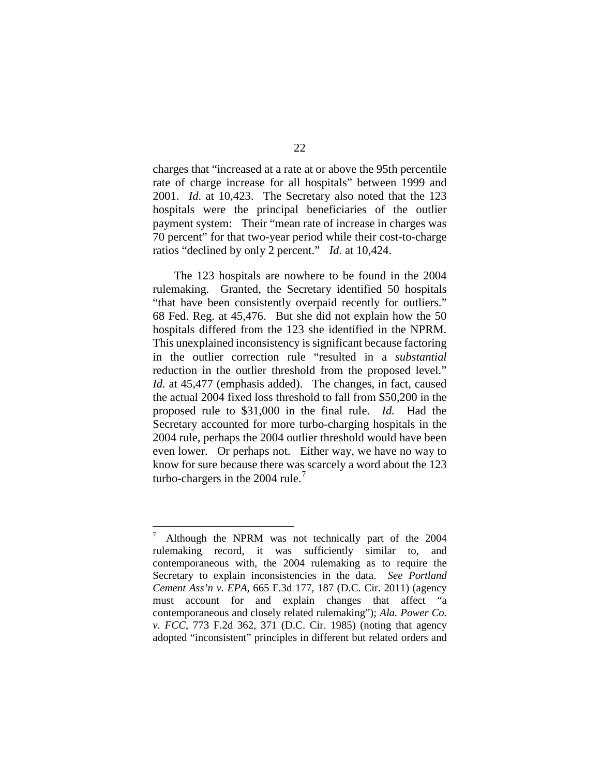charges that "increased at a rate at or above the 95th percentile rate of charge increase for all hospitals" between 1999 and 2001. *Id*. at 10,423. The Secretary also noted that the 123 hospitals were the principal beneficiaries of the outlier payment system: Their "mean rate of increase in charges was 70 percent" for that two-year period while their cost-to-charge ratios "declined by only 2 percent." *Id*. at 10,424.

The 123 hospitals are nowhere to be found in the 2004 rulemaking. Granted, the Secretary identified 50 hospitals "that have been consistently overpaid recently for outliers." 68 Fed. Reg. at 45,476. But she did not explain how the 50 hospitals differed from the 123 she identified in the NPRM. This unexplained inconsistency is significant because factoring in the outlier correction rule "resulted in a *substantial* reduction in the outlier threshold from the proposed level." *Id.* at 45,477 (emphasis added). The changes, in fact, caused the actual 2004 fixed loss threshold to fall from \$50,200 in the proposed rule to \$31,000 in the final rule. *Id.* Had the Secretary accounted for more turbo-charging hospitals in the 2004 rule, perhaps the 2004 outlier threshold would have been even lower. Or perhaps not. Either way, we have no way to know for sure because there was scarcely a word about the 123 turbo-chargers in the 2004 rule.<sup>[7](#page-21-0)</sup>

<span id="page-21-0"></span>Although the NPRM was not technically part of the 2004 rulemaking record, it was sufficiently similar to, and contemporaneous with, the 2004 rulemaking as to require the Secretary to explain inconsistencies in the data. *See Portland Cement Ass'n v. EPA*, 665 F.3d 177, 187 (D.C. Cir. 2011) (agency must account for and explain changes that affect "a contemporaneous and closely related rulemaking"); *Ala. Power Co. v. FCC*, 773 F.2d 362, 371 (D.C. Cir. 1985) (noting that agency adopted "inconsistent" principles in different but related orders and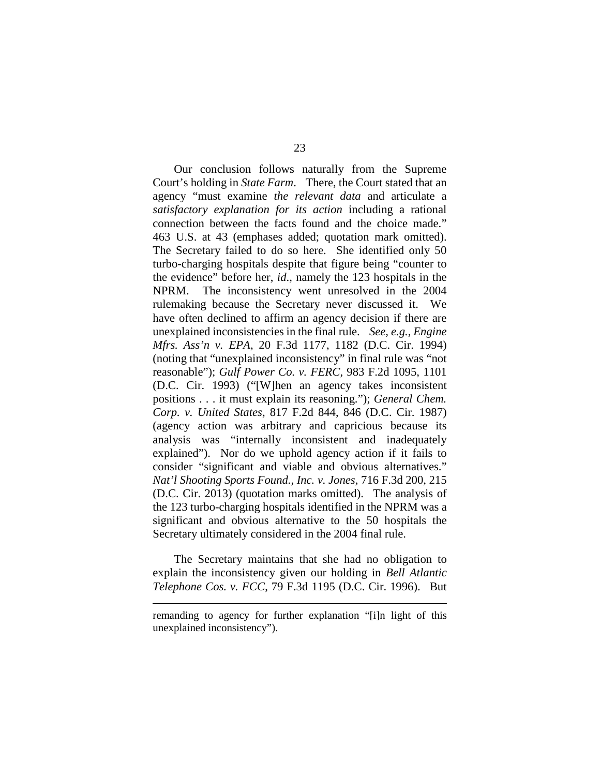Our conclusion follows naturally from the Supreme Court's holding in *State Farm*. There, the Court stated that an agency "must examine *the relevant data* and articulate a *satisfactory explanation for its action* including a rational connection between the facts found and the choice made." 463 U.S. at 43 (emphases added; quotation mark omitted). The Secretary failed to do so here. She identified only 50 turbo-charging hospitals despite that figure being "counter to the evidence" before her, *id*., namely the 123 hospitals in the NPRM. The inconsistency went unresolved in the 2004 rulemaking because the Secretary never discussed it. We have often declined to affirm an agency decision if there are unexplained inconsistencies in the final rule. *See, e.g.*, *Engine Mfrs. Ass'n v. EPA*, 20 F.3d 1177, 1182 (D.C. Cir. 1994) (noting that "unexplained inconsistency" in final rule was "not reasonable"); *Gulf Power Co. v. FERC*, 983 F.2d 1095, 1101 (D.C. Cir. 1993) ("[W]hen an agency takes inconsistent positions . . . it must explain its reasoning."); *General Chem. Corp. v. United States*, 817 F.2d 844, 846 (D.C. Cir. 1987) (agency action was arbitrary and capricious because its analysis was "internally inconsistent and inadequately explained"). Nor do we uphold agency action if it fails to consider "significant and viable and obvious alternatives." *Nat'l Shooting Sports Found., Inc. v. Jones*, 716 F.3d 200, 215 (D.C. Cir. 2013) (quotation marks omitted). The analysis of the 123 turbo-charging hospitals identified in the NPRM was a significant and obvious alternative to the 50 hospitals the Secretary ultimately considered in the 2004 final rule.

The Secretary maintains that she had no obligation to explain the inconsistency given our holding in *Bell Atlantic Telephone Cos. v. FCC*, 79 F.3d 1195 (D.C. Cir. 1996). But

 $\overline{a}$ 

remanding to agency for further explanation "[i]n light of this unexplained inconsistency").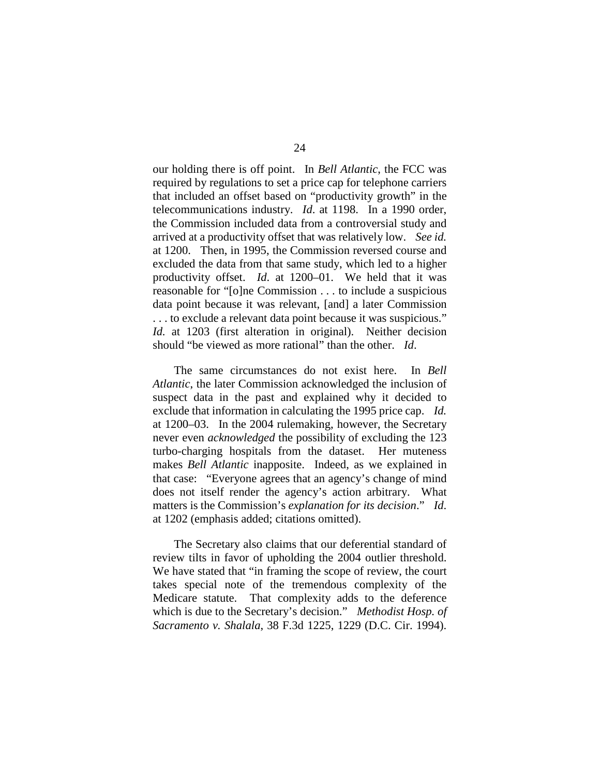our holding there is off point. In *Bell Atlantic*, the FCC was required by regulations to set a price cap for telephone carriers that included an offset based on "productivity growth" in the telecommunications industry. *Id*. at 1198. In a 1990 order, the Commission included data from a controversial study and arrived at a productivity offset that was relatively low. *See id.* at 1200. Then, in 1995, the Commission reversed course and excluded the data from that same study, which led to a higher productivity offset. *Id*. at 1200–01. We held that it was reasonable for "[o]ne Commission . . . to include a suspicious data point because it was relevant, [and] a later Commission . . . to exclude a relevant data point because it was suspicious." *Id.* at 1203 (first alteration in original). Neither decision should "be viewed as more rational" than the other. *Id*.

The same circumstances do not exist here. In *Bell Atlantic*, the later Commission acknowledged the inclusion of suspect data in the past and explained why it decided to exclude that information in calculating the 1995 price cap. *Id.* at 1200–03. In the 2004 rulemaking, however, the Secretary never even *acknowledged* the possibility of excluding the 123 turbo-charging hospitals from the dataset. Her muteness makes *Bell Atlantic* inapposite. Indeed, as we explained in that case: "Everyone agrees that an agency's change of mind does not itself render the agency's action arbitrary. What matters is the Commission's *explanation for its decision*." *Id*. at 1202 (emphasis added; citations omitted).

The Secretary also claims that our deferential standard of review tilts in favor of upholding the 2004 outlier threshold. We have stated that "in framing the scope of review, the court takes special note of the tremendous complexity of the Medicare statute. That complexity adds to the deference which is due to the Secretary's decision." *Methodist Hosp. of Sacramento v. Shalala*, 38 F.3d 1225, 1229 (D.C. Cir. 1994).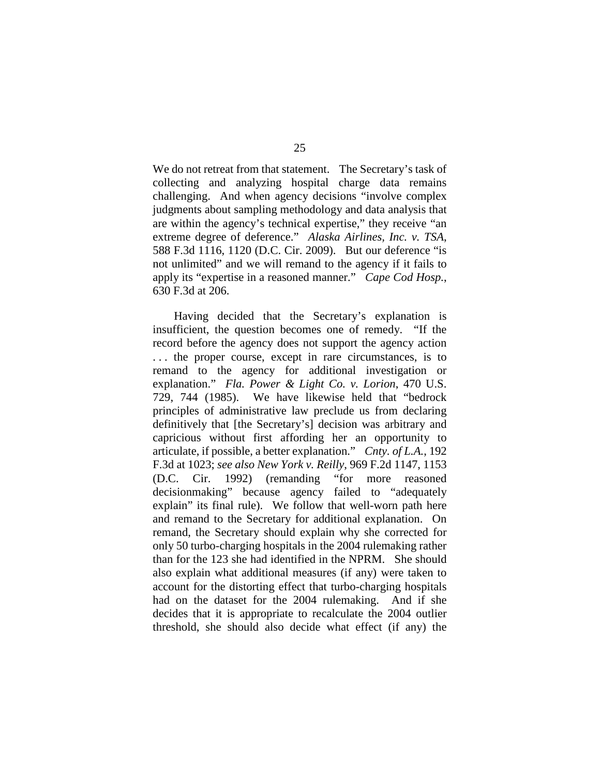We do not retreat from that statement. The Secretary's task of collecting and analyzing hospital charge data remains challenging. And when agency decisions "involve complex judgments about sampling methodology and data analysis that are within the agency's technical expertise," they receive "an extreme degree of deference." *Alaska Airlines, Inc. v. TSA*, 588 F.3d 1116, 1120 (D.C. Cir. 2009). But our deference "is not unlimited" and we will remand to the agency if it fails to apply its "expertise in a reasoned manner." *Cape Cod Hosp.*, 630 F.3d at 206.

Having decided that the Secretary's explanation is insufficient, the question becomes one of remedy. "If the record before the agency does not support the agency action . . . the proper course, except in rare circumstances, is to remand to the agency for additional investigation or explanation." *Fla. Power & Light Co. v. Lorion*, 470 U.S. 729, 744 (1985). We have likewise held that "bedrock principles of administrative law preclude us from declaring definitively that [the Secretary's] decision was arbitrary and capricious without first affording her an opportunity to articulate, if possible, a better explanation." *Cnty. of L.A.*, 192 F.3d at 1023; *see also New York v. Reilly*, 969 F.2d 1147, 1153 (D.C. Cir. 1992) (remanding "for more reasoned decisionmaking" because agency failed to "adequately explain" its final rule). We follow that well-worn path here and remand to the Secretary for additional explanation. On remand, the Secretary should explain why she corrected for only 50 turbo-charging hospitals in the 2004 rulemaking rather than for the 123 she had identified in the NPRM. She should also explain what additional measures (if any) were taken to account for the distorting effect that turbo-charging hospitals had on the dataset for the 2004 rulemaking. And if she decides that it is appropriate to recalculate the 2004 outlier threshold, she should also decide what effect (if any) the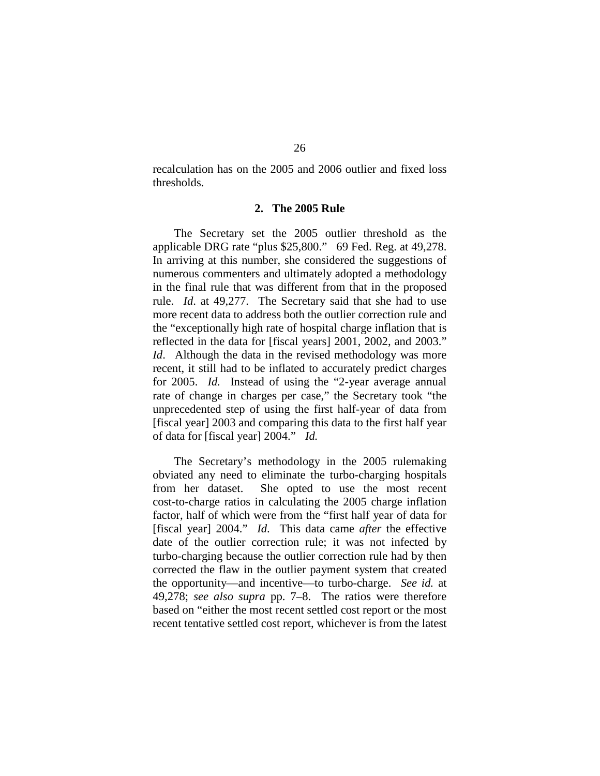recalculation has on the 2005 and 2006 outlier and fixed loss thresholds.

#### **2. The 2005 Rule**

The Secretary set the 2005 outlier threshold as the applicable DRG rate "plus \$25,800." 69 Fed. Reg. at 49,278. In arriving at this number, she considered the suggestions of numerous commenters and ultimately adopted a methodology in the final rule that was different from that in the proposed rule. *Id*. at 49,277. The Secretary said that she had to use more recent data to address both the outlier correction rule and the "exceptionally high rate of hospital charge inflation that is reflected in the data for [fiscal years] 2001, 2002, and 2003." *Id*. Although the data in the revised methodology was more recent, it still had to be inflated to accurately predict charges for 2005. *Id.* Instead of using the "2-year average annual rate of change in charges per case," the Secretary took "the unprecedented step of using the first half-year of data from [fiscal year] 2003 and comparing this data to the first half year of data for [fiscal year] 2004." *Id.*

The Secretary's methodology in the 2005 rulemaking obviated any need to eliminate the turbo-charging hospitals from her dataset. She opted to use the most recent cost-to-charge ratios in calculating the 2005 charge inflation factor, half of which were from the "first half year of data for [fiscal year] 2004." *Id*. This data came *after* the effective date of the outlier correction rule; it was not infected by turbo-charging because the outlier correction rule had by then corrected the flaw in the outlier payment system that created the opportunity—and incentive—to turbo-charge. *See id.* at 49,278; *see also supra* pp. 7–8. The ratios were therefore based on "either the most recent settled cost report or the most recent tentative settled cost report, whichever is from the latest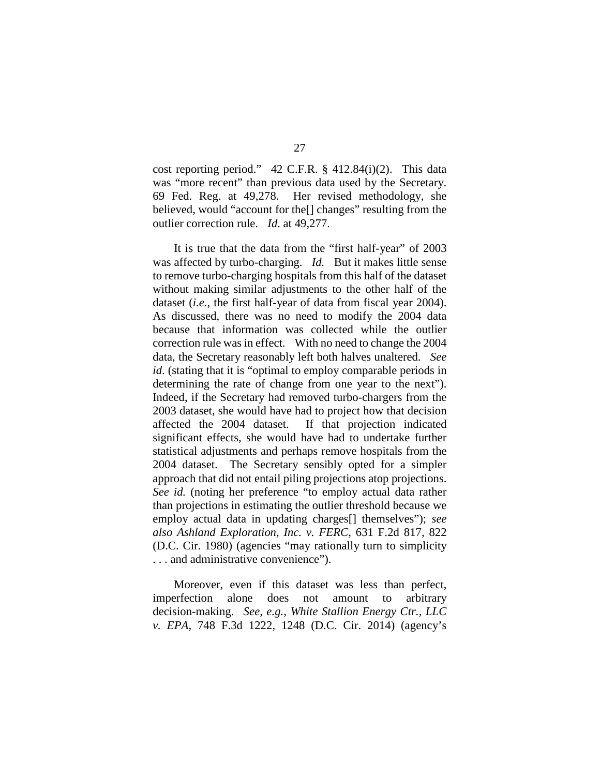cost reporting period." 42 C.F.R. § 412.84(i)(2). This data was "more recent" than previous data used by the Secretary. 69 Fed. Reg. at 49,278. Her revised methodology, she believed, would "account for the<sup>[]</sup> changes" resulting from the outlier correction rule. *Id*. at 49,277.

It is true that the data from the "first half-year" of 2003 was affected by turbo-charging. *Id.* But it makes little sense to remove turbo-charging hospitals from this half of the dataset without making similar adjustments to the other half of the dataset (*i.e.*, the first half-year of data from fiscal year 2004). As discussed, there was no need to modify the 2004 data because that information was collected while the outlier correction rule was in effect. With no need to change the 2004 data, the Secretary reasonably left both halves unaltered. *See id*. (stating that it is "optimal to employ comparable periods in determining the rate of change from one year to the next"). Indeed, if the Secretary had removed turbo-chargers from the 2003 dataset, she would have had to project how that decision affected the 2004 dataset. If that projection indicated significant effects, she would have had to undertake further statistical adjustments and perhaps remove hospitals from the 2004 dataset. The Secretary sensibly opted for a simpler approach that did not entail piling projections atop projections. *See id.* (noting her preference "to employ actual data rather than projections in estimating the outlier threshold because we employ actual data in updating charges[] themselves"); *see also Ashland Exploration, Inc. v. FERC*, 631 F.2d 817, 822 (D.C. Cir. 1980) (agencies "may rationally turn to simplicity . . . and administrative convenience").

Moreover, even if this dataset was less than perfect, imperfection alone does not amount to arbitrary decision-making. *See, e.g.*, *White Stallion Energy Ctr., LLC v. EPA*, 748 F.3d 1222, 1248 (D.C. Cir. 2014) (agency's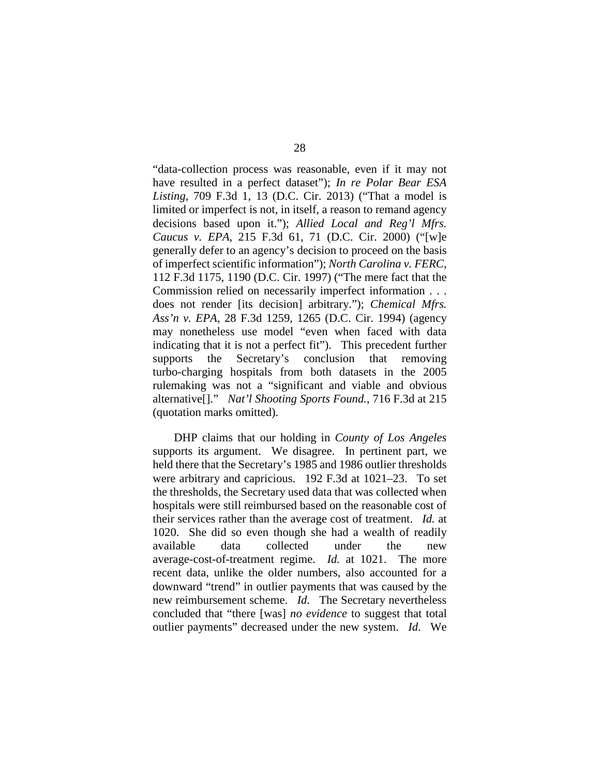"data-collection process was reasonable, even if it may not have resulted in a perfect dataset"); *In re Polar Bear ESA Listing*, 709 F.3d 1, 13 (D.C. Cir. 2013) ("That a model is limited or imperfect is not, in itself, a reason to remand agency decisions based upon it."); *Allied Local and Reg'l Mfrs. Caucus v. EPA*, 215 F.3d 61, 71 (D.C. Cir. 2000) ("[w]e generally defer to an agency's decision to proceed on the basis of imperfect scientific information"); *North Carolina v. FERC*, 112 F.3d 1175, 1190 (D.C. Cir. 1997) ("The mere fact that the Commission relied on necessarily imperfect information . . . does not render [its decision] arbitrary."); *Chemical Mfrs. Ass'n v. EPA*, 28 F.3d 1259, 1265 (D.C. Cir. 1994) (agency may nonetheless use model "even when faced with data indicating that it is not a perfect fit"). This precedent further supports the Secretary's conclusion that removing turbo-charging hospitals from both datasets in the 2005 rulemaking was not a "significant and viable and obvious alternative[]." *Nat'l Shooting Sports Found.*, 716 F.3d at 215 (quotation marks omitted).

DHP claims that our holding in *County of Los Angeles* supports its argument. We disagree. In pertinent part, we held there that the Secretary's 1985 and 1986 outlier thresholds were arbitrary and capricious. 192 F.3d at 1021–23. To set the thresholds, the Secretary used data that was collected when hospitals were still reimbursed based on the reasonable cost of their services rather than the average cost of treatment. *Id.* at 1020. She did so even though she had a wealth of readily available data collected under the new average-cost-of-treatment regime. *Id.* at 1021. The more recent data, unlike the older numbers, also accounted for a downward "trend" in outlier payments that was caused by the new reimbursement scheme. *Id*. The Secretary nevertheless concluded that "there [was] *no evidence* to suggest that total outlier payments" decreased under the new system. *Id*. We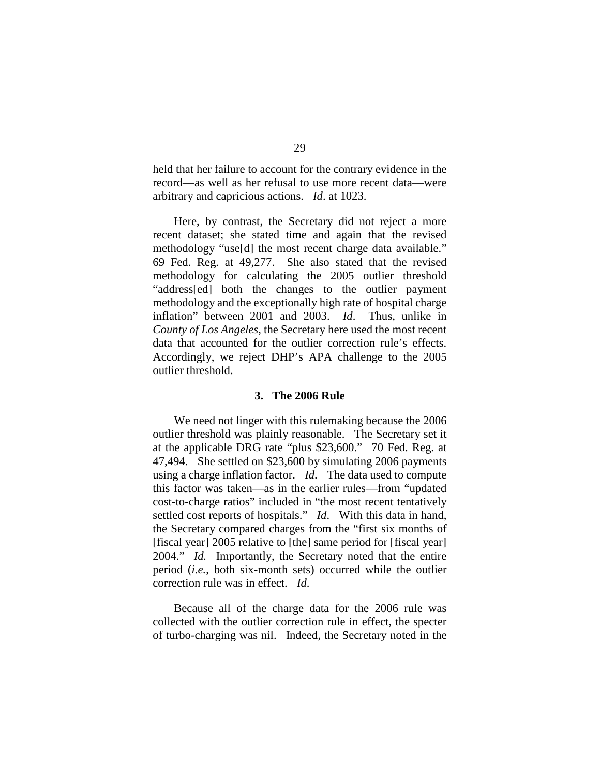held that her failure to account for the contrary evidence in the record—as well as her refusal to use more recent data—were arbitrary and capricious actions. *Id*. at 1023.

Here, by contrast, the Secretary did not reject a more recent dataset; she stated time and again that the revised methodology "use[d] the most recent charge data available." 69 Fed. Reg. at 49,277. She also stated that the revised methodology for calculating the 2005 outlier threshold "address[ed] both the changes to the outlier payment methodology and the exceptionally high rate of hospital charge inflation" between 2001 and 2003. *Id*. Thus, unlike in *County of Los Angeles*, the Secretary here used the most recent data that accounted for the outlier correction rule's effects. Accordingly, we reject DHP's APA challenge to the 2005 outlier threshold.

#### **3. The 2006 Rule**

We need not linger with this rulemaking because the 2006 outlier threshold was plainly reasonable. The Secretary set it at the applicable DRG rate "plus \$23,600." 70 Fed. Reg. at 47,494. She settled on \$23,600 by simulating 2006 payments using a charge inflation factor. *Id*. The data used to compute this factor was taken—as in the earlier rules—from "updated cost-to-charge ratios" included in "the most recent tentatively settled cost reports of hospitals." *Id*. With this data in hand, the Secretary compared charges from the "first six months of [fiscal year] 2005 relative to [the] same period for [fiscal year] 2004." *Id.* Importantly, the Secretary noted that the entire period (*i.e.*, both six-month sets) occurred while the outlier correction rule was in effect. *Id*.

Because all of the charge data for the 2006 rule was collected with the outlier correction rule in effect, the specter of turbo-charging was nil. Indeed, the Secretary noted in the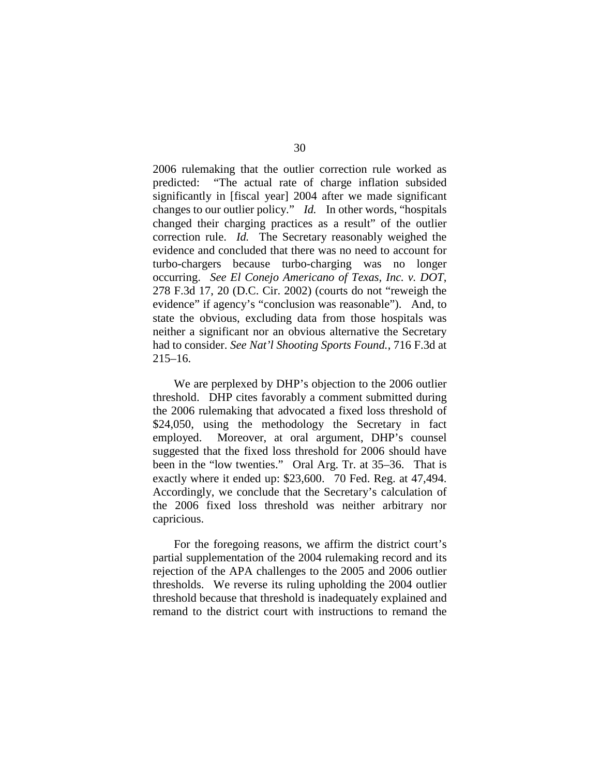2006 rulemaking that the outlier correction rule worked as predicted: "The actual rate of charge inflation subsided significantly in [fiscal year] 2004 after we made significant changes to our outlier policy." *Id.* In other words, "hospitals changed their charging practices as a result" of the outlier correction rule. *Id.* The Secretary reasonably weighed the evidence and concluded that there was no need to account for turbo-chargers because turbo-charging was no longer occurring. *See El Conejo Americano of Texas, Inc. v. DOT*, 278 F.3d 17, 20 (D.C. Cir. 2002) (courts do not "reweigh the evidence" if agency's "conclusion was reasonable"). And, to state the obvious, excluding data from those hospitals was neither a significant nor an obvious alternative the Secretary had to consider. *See Nat'l Shooting Sports Found.*, 716 F.3d at 215–16.

We are perplexed by DHP's objection to the 2006 outlier threshold. DHP cites favorably a comment submitted during the 2006 rulemaking that advocated a fixed loss threshold of \$24,050, using the methodology the Secretary in fact employed. Moreover, at oral argument, DHP's counsel suggested that the fixed loss threshold for 2006 should have been in the "low twenties." Oral Arg. Tr. at 35–36. That is exactly where it ended up: \$23,600. 70 Fed. Reg. at 47,494. Accordingly, we conclude that the Secretary's calculation of the 2006 fixed loss threshold was neither arbitrary nor capricious.

For the foregoing reasons, we affirm the district court's partial supplementation of the 2004 rulemaking record and its rejection of the APA challenges to the 2005 and 2006 outlier thresholds. We reverse its ruling upholding the 2004 outlier threshold because that threshold is inadequately explained and remand to the district court with instructions to remand the